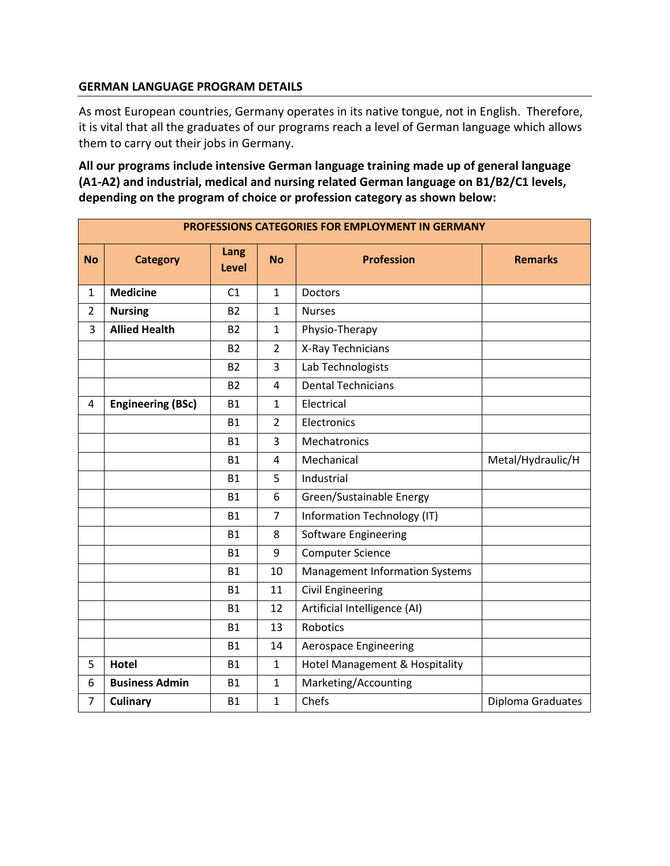## **GERMAN LANGUAGE PROGRAM DETAILS**

As most European countries, Germany operates in its native tongue, not in English. Therefore, it is vital that all the graduates of our programs reach a level of German language which allows them to carry out their jobs in Germany.

**All our programs include intensive German language training made up of general language (A1-A2) and industrial, medical and nursing related German language on B1/B2/C1 levels, depending on the program of choice or profession category as shown below:**

| PROFESSIONS CATEGORIES FOR EMPLOYMENT IN GERMANY |                          |                      |                |                                       |                   |  |  |  |
|--------------------------------------------------|--------------------------|----------------------|----------------|---------------------------------------|-------------------|--|--|--|
| <b>No</b>                                        | <b>Category</b>          | Lang<br><b>Level</b> | <b>No</b>      | <b>Profession</b>                     | <b>Remarks</b>    |  |  |  |
| 1                                                | <b>Medicine</b>          | C1                   | $\mathbf{1}$   | <b>Doctors</b>                        |                   |  |  |  |
| $\overline{2}$                                   | <b>Nursing</b>           | <b>B2</b>            | $\mathbf{1}$   | <b>Nurses</b>                         |                   |  |  |  |
| 3                                                | <b>Allied Health</b>     | <b>B2</b>            | $\mathbf{1}$   | Physio-Therapy                        |                   |  |  |  |
|                                                  |                          | <b>B2</b>            | $\overline{2}$ | X-Ray Technicians                     |                   |  |  |  |
|                                                  |                          | <b>B2</b>            | 3              | Lab Technologists                     |                   |  |  |  |
|                                                  |                          | <b>B2</b>            | 4              | <b>Dental Technicians</b>             |                   |  |  |  |
| 4                                                | <b>Engineering (BSc)</b> | <b>B1</b>            | $\mathbf{1}$   | Electrical                            |                   |  |  |  |
|                                                  |                          | <b>B1</b>            | $\overline{2}$ | Electronics                           |                   |  |  |  |
|                                                  |                          | <b>B1</b>            | 3              | Mechatronics                          |                   |  |  |  |
|                                                  |                          | <b>B1</b>            | 4              | Mechanical                            | Metal/Hydraulic/H |  |  |  |
|                                                  |                          | <b>B1</b>            | 5              | Industrial                            |                   |  |  |  |
|                                                  |                          | <b>B1</b>            | 6              | Green/Sustainable Energy              |                   |  |  |  |
|                                                  |                          | <b>B1</b>            | $\overline{7}$ | Information Technology (IT)           |                   |  |  |  |
|                                                  |                          | <b>B1</b>            | 8              | Software Engineering                  |                   |  |  |  |
|                                                  |                          | <b>B1</b>            | 9              | <b>Computer Science</b>               |                   |  |  |  |
|                                                  |                          | <b>B1</b>            | 10             | <b>Management Information Systems</b> |                   |  |  |  |
|                                                  |                          | <b>B1</b>            | 11             | <b>Civil Engineering</b>              |                   |  |  |  |
|                                                  |                          | <b>B1</b>            | 12             | Artificial Intelligence (AI)          |                   |  |  |  |
|                                                  |                          | <b>B1</b>            | 13             | Robotics                              |                   |  |  |  |
|                                                  |                          | <b>B1</b>            | 14             | <b>Aerospace Engineering</b>          |                   |  |  |  |
| 5                                                | <b>Hotel</b>             | <b>B1</b>            | $\mathbf{1}$   | Hotel Management & Hospitality        |                   |  |  |  |
| 6                                                | <b>Business Admin</b>    | <b>B1</b>            | $\mathbf{1}$   | Marketing/Accounting                  |                   |  |  |  |
| 7                                                | <b>Culinary</b>          | <b>B1</b>            | $\mathbf{1}$   | Chefs<br>Diploma Graduates            |                   |  |  |  |